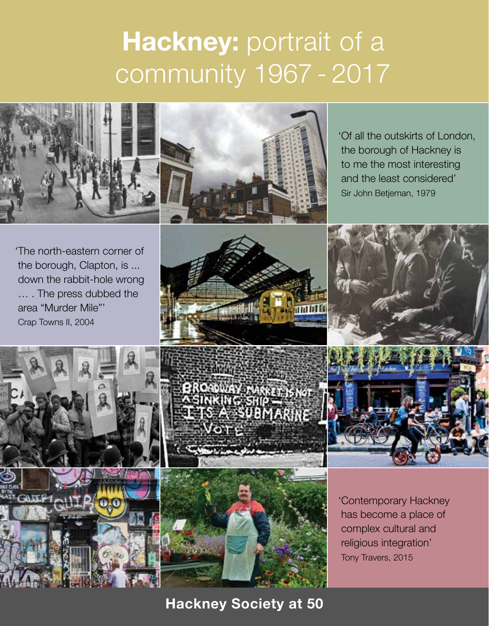# Hackney: portrait of a community 1967 - 2017





'Of all the outskirts of London, the borough of Hackney is to me the most interesting and the least considered' Sir John Betjeman, 1979

'The north-eastern corner of the borough, Clapton, is ... down the rabbit-hole wrong … . The press dubbed the area "Murder Mile"' Crap Towns II, 2004











'Contemporary Hackney has become a place of complex cultural and religious integration' Tony Travers, 2015

1 **Hackney Society at 50**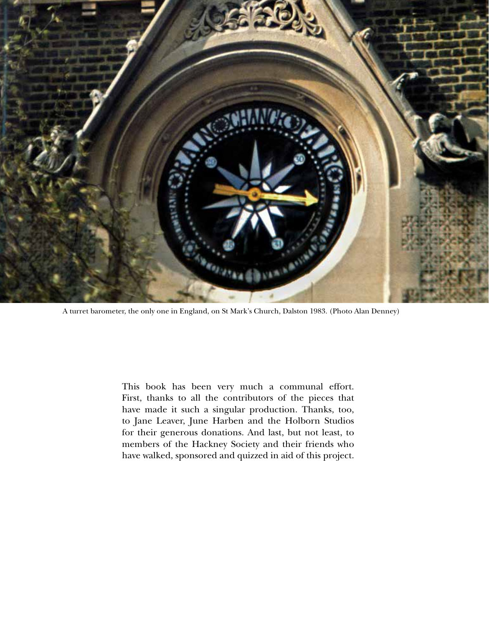

A turret barometer, the only one in England, on St Mark's Church, Dalston 1983. (Photo Alan Denney)

This book has been very much a communal effort. First, thanks to all the contributors of the pieces that have made it such a singular production. Thanks, too, to Jane Leaver, June Harben and the Holborn Studios for their generous donations. And last, but not least, to members of the Hackney Society and their friends who have walked, sponsored and quizzed in aid of this project.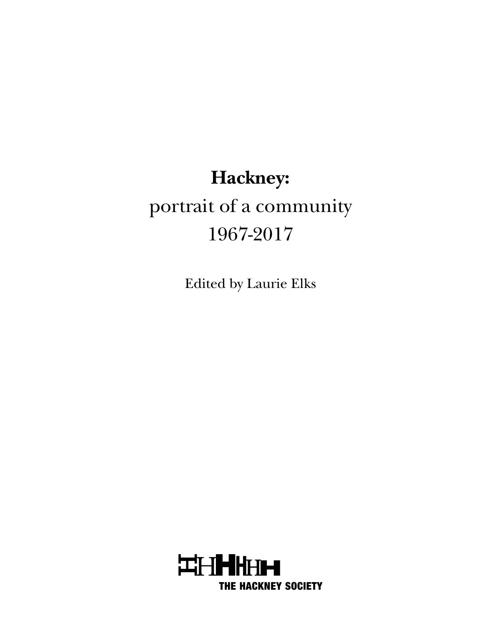## **Hackney:**

## portrait of a community 1967-2017

Edited by Laurie Elks

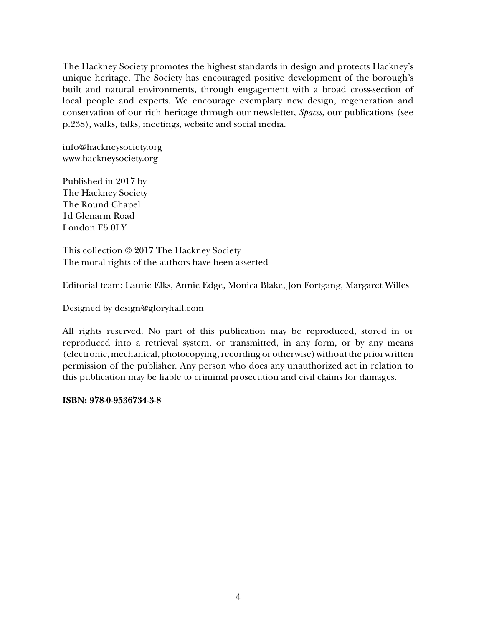The Hackney Society promotes the highest standards in design and protects Hackney's unique heritage. The Society has encouraged positive development of the borough's built and natural environments, through engagement with a broad cross-section of local people and experts. We encourage exemplary new design, regeneration and conservation of our rich heritage through our newsletter, *Spaces*, our publications (see p.238), walks, talks, meetings, website and social media.

info@hackneysociety.org www.hackneysociety.org

Published in 2017 by The Hackney Society The Round Chapel 1d Glenarm Road London E5 0LY

This collection © 2017 The Hackney Society The moral rights of the authors have been asserted

Editorial team: Laurie Elks, Annie Edge, Monica Blake, Jon Fortgang, Margaret Willes

Designed by design@gloryhall.com

All rights reserved. No part of this publication may be reproduced, stored in or reproduced into a retrieval system, or transmitted, in any form, or by any means (electronic, mechanical, photocopying, recording or otherwise) without the prior written permission of the publisher. Any person who does any unauthorized act in relation to this publication may be liable to criminal prosecution and civil claims for damages.

#### **ISBN: 978-0-9536734-3-8**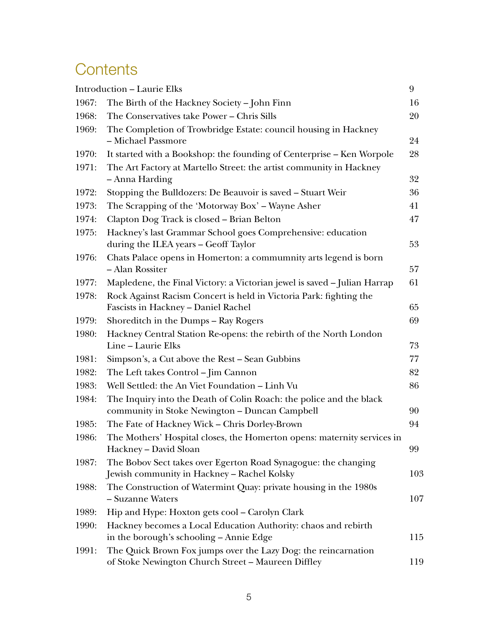### **Contents**

|       | <b>Introduction - Laurie Elks</b>                                                                                     | 9   |
|-------|-----------------------------------------------------------------------------------------------------------------------|-----|
| 1967: | The Birth of the Hackney Society - John Finn                                                                          | 16  |
| 1968: | The Conservatives take Power - Chris Sills                                                                            | 20  |
| 1969: | The Completion of Trowbridge Estate: council housing in Hackney<br>- Michael Passmore                                 | 24  |
| 1970: | It started with a Bookshop: the founding of Centerprise – Ken Worpole                                                 | 28  |
| 1971: | The Art Factory at Martello Street: the artist community in Hackney<br>- Anna Harding                                 | 32  |
| 1972: | Stopping the Bulldozers: De Beauvoir is saved – Stuart Weir                                                           | 36  |
| 1973: | The Scrapping of the 'Motorway Box' – Wayne Asher                                                                     | 41  |
| 1974: | Clapton Dog Track is closed - Brian Belton                                                                            | 47  |
| 1975: | Hackney's last Grammar School goes Comprehensive: education<br>during the ILEA years - Geoff Taylor                   | 53  |
| 1976: | Chats Palace opens in Homerton: a commumnity arts legend is born<br>- Alan Rossiter                                   | 57  |
| 1977: | Mapledene, the Final Victory: a Victorian jewel is saved – Julian Harrap                                              | 61  |
| 1978: | Rock Against Racism Concert is held in Victoria Park: fighting the<br>Fascists in Hackney - Daniel Rachel             | 65  |
| 1979: | Shoreditch in the Dumps – Ray Rogers                                                                                  | 69  |
| 1980: | Hackney Central Station Re-opens: the rebirth of the North London                                                     |     |
|       | Line – Laurie Elks                                                                                                    | 73  |
| 1981: | Simpson's, a Cut above the Rest - Sean Gubbins                                                                        | 77  |
| 1982: | The Left takes Control – Jim Cannon                                                                                   | 82  |
| 1983: | Well Settled: the An Viet Foundation - Linh Vu                                                                        | 86  |
| 1984: | The Inquiry into the Death of Colin Roach: the police and the black<br>community in Stoke Newington - Duncan Campbell | 90  |
| 1985: | The Fate of Hackney Wick - Chris Dorley-Brown                                                                         | 94  |
| 1986: | The Mothers' Hospital closes, the Homerton opens: maternity services in<br>Hackney - David Sloan                      | 99  |
| 1987: | The Bobov Sect takes over Egerton Road Synagogue: the changing<br>Jewish community in Hackney - Rachel Kolsky         | 103 |
| 1988: | The Construction of Watermint Quay: private housing in the 1980s<br>- Suzanne Waters                                  | 107 |
| 1989: | Hip and Hype: Hoxton gets cool - Carolyn Clark                                                                        |     |
| 1990: | Hackney becomes a Local Education Authority: chaos and rebirth                                                        |     |
|       | in the borough's schooling - Annie Edge                                                                               | 115 |
| 1991: | The Quick Brown Fox jumps over the Lazy Dog: the reincarnation<br>of Stoke Newington Church Street - Maureen Diffley  | 119 |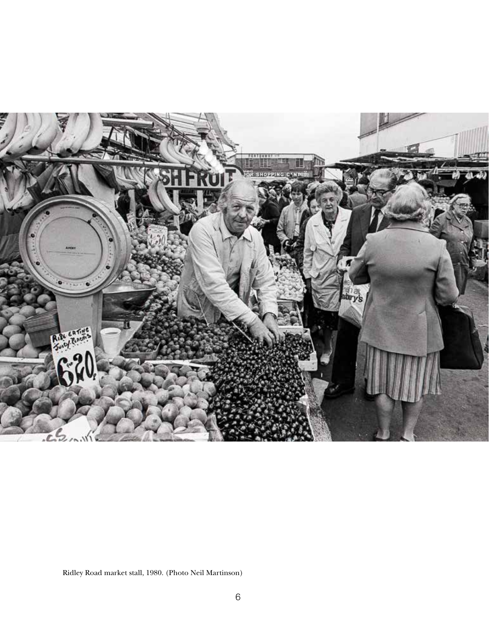

Ridley Road market stall, 1980. (Photo Neil Martinson)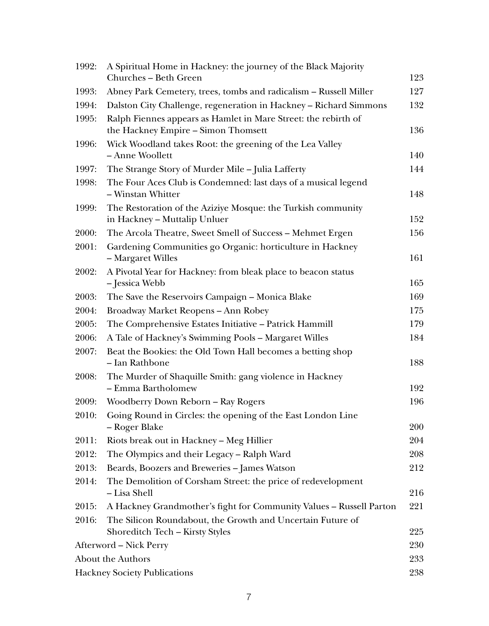| 1992:                               | A Spiritual Home in Hackney: the journey of the Black Majority<br>Churches - Beth Green               | 123 |
|-------------------------------------|-------------------------------------------------------------------------------------------------------|-----|
| 1993:                               | Abney Park Cemetery, trees, tombs and radicalism - Russell Miller                                     | 127 |
| 1994:                               | Dalston City Challenge, regeneration in Hackney - Richard Simmons                                     | 132 |
| 1995:                               | Ralph Fiennes appears as Hamlet in Mare Street: the rebirth of<br>the Hackney Empire - Simon Thomsett | 136 |
| 1996:                               | Wick Woodland takes Root: the greening of the Lea Valley<br>- Anne Woollett                           | 140 |
| 1997:                               | The Strange Story of Murder Mile - Julia Lafferty                                                     | 144 |
| 1998:                               | The Four Aces Club is Condemned: last days of a musical legend<br>- Winstan Whitter                   | 148 |
| 1999:                               | The Restoration of the Aziziye Mosque: the Turkish community<br>in Hackney - Muttalip Unluer          | 152 |
| 2000:                               | The Arcola Theatre, Sweet Smell of Success - Mehmet Ergen                                             | 156 |
| 2001:                               | Gardening Communities go Organic: horticulture in Hackney<br>- Margaret Willes                        | 161 |
| 2002:                               | A Pivotal Year for Hackney: from bleak place to beacon status<br>- Jessica Webb                       | 165 |
| 2003:                               | The Save the Reservoirs Campaign – Monica Blake                                                       | 169 |
| 2004:                               | Broadway Market Reopens - Ann Robey                                                                   | 175 |
| 2005:                               | The Comprehensive Estates Initiative - Patrick Hammill                                                | 179 |
| 2006:                               | A Tale of Hackney's Swimming Pools - Margaret Willes                                                  | 184 |
| 2007:                               | Beat the Bookies: the Old Town Hall becomes a betting shop<br>- Ian Rathbone                          | 188 |
| 2008:                               | The Murder of Shaquille Smith: gang violence in Hackney<br>- Emma Bartholomew                         | 192 |
| 2009:                               | Woodberry Down Reborn - Ray Rogers                                                                    | 196 |
| 2010:                               | Going Round in Circles: the opening of the East London Line<br>- Roger Blake                          | 200 |
| 2011:                               | Riots break out in Hackney - Meg Hillier                                                              | 204 |
| 2012:                               | The Olympics and their Legacy - Ralph Ward                                                            | 208 |
| 2013:                               | Beards, Boozers and Breweries - James Watson                                                          | 212 |
| 2014:                               | The Demolition of Corsham Street: the price of redevelopment<br>- Lisa Shell                          | 216 |
| 2015:                               | A Hackney Grandmother's fight for Community Values - Russell Parton                                   | 221 |
| 2016:                               | The Silicon Roundabout, the Growth and Uncertain Future of<br>Shoreditch Tech - Kirsty Styles         | 225 |
|                                     | Afterword – Nick Perry                                                                                |     |
|                                     | About the Authors                                                                                     |     |
| <b>Hackney Society Publications</b> |                                                                                                       | 238 |
|                                     |                                                                                                       |     |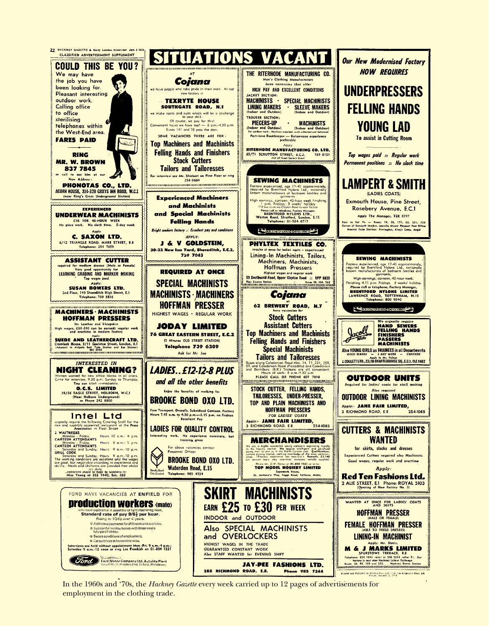

In the 1960s and '70s, the *Hackney Gazette* every week carried up to 12 pages of advertisements for employment in the clothing trade.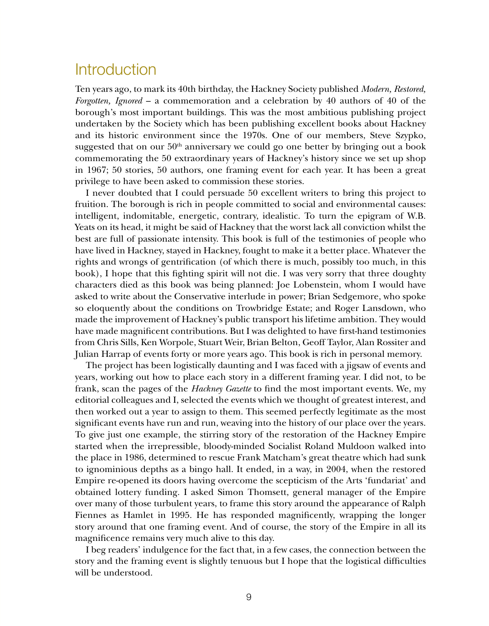### **Introduction**

Ten years ago, to mark its 40th birthday, the Hackney Society published *Modern, Restored, Forgotten, Ignored* – a commemoration and a celebration by 40 authors of 40 of the borough's most important buildings. This was the most ambitious publishing project undertaken by the Society which has been publishing excellent books about Hackney and its historic environment since the 1970s. One of our members, Steve Szypko, suggested that on our  $50<sup>th</sup>$  anniversary we could go one better by bringing out a book commemorating the 50 extraordinary years of Hackney's history since we set up shop in 1967; 50 stories, 50 authors, one framing event for each year. It has been a great privilege to have been asked to commission these stories.

I never doubted that I could persuade 50 excellent writers to bring this project to fruition. The borough is rich in people committed to social and environmental causes: intelligent, indomitable, energetic, contrary, idealistic. To turn the epigram of W.B. Yeats on its head, it might be said of Hackney that the worst lack all conviction whilst the best are full of passionate intensity. This book is full of the testimonies of people who have lived in Hackney, stayed in Hackney, fought to make it a better place. Whatever the rights and wrongs of gentrification (of which there is much, possibly too much, in this book), I hope that this fighting spirit will not die. I was very sorry that three doughty characters died as this book was being planned: Joe Lobenstein, whom I would have asked to write about the Conservative interlude in power; Brian Sedgemore, who spoke so eloquently about the conditions on Trowbridge Estate; and Roger Lansdown, who made the improvement of Hackney's public transport his lifetime ambition. They would have made magnificent contributions. But I was delighted to have first-hand testimonies from Chris Sills, Ken Worpole, Stuart Weir, Brian Belton, Geoff Taylor, Alan Rossiter and Julian Harrap of events forty or more years ago. This book is rich in personal memory.

The project has been logistically daunting and I was faced with a jigsaw of events and years, working out how to place each story in a different framing year. I did not, to be frank, scan the pages of the *Hackney Gazette* to find the most important events. We, my editorial colleagues and I, selected the events which we thought of greatest interest, and then worked out a year to assign to them. This seemed perfectly legitimate as the most significant events have run and run, weaving into the history of our place over the years. To give just one example, the stirring story of the restoration of the Hackney Empire started when the irrepressible, bloody-minded Socialist Roland Muldoon walked into the place in 1986, determined to rescue Frank Matcham's great theatre which had sunk to ignominious depths as a bingo hall. It ended, in a way, in 2004, when the restored Empire re-opened its doors having overcome the scepticism of the Arts 'fundariat' and obtained lottery funding. I asked Simon Thomsett, general manager of the Empire over many of those turbulent years, to frame this story around the appearance of Ralph Fiennes as Hamlet in 1995. He has responded magnificently, wrapping the longer story around that one framing event. And of course, the story of the Empire in all its magnificence remains very much alive to this day.

I beg readers' indulgence for the fact that, in a few cases, the connection between the story and the framing event is slightly tenuous but I hope that the logistical difficulties will be understood.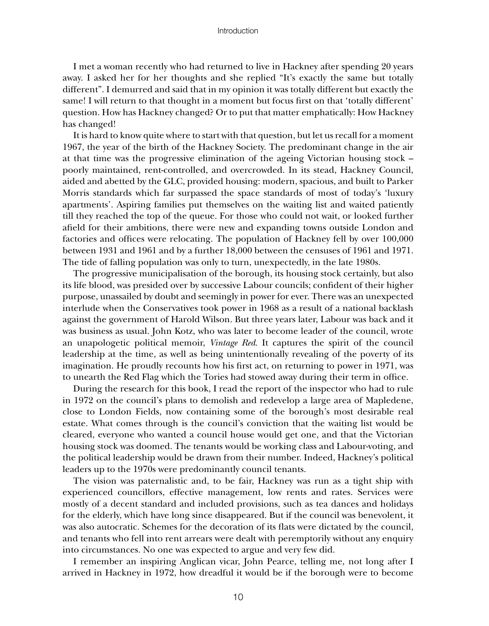I met a woman recently who had returned to live in Hackney after spending 20 years away. I asked her for her thoughts and she replied "It's exactly the same but totally different". I demurred and said that in my opinion it was totally different but exactly the same! I will return to that thought in a moment but focus first on that 'totally different' question. How has Hackney changed? Or to put that matter emphatically: How Hackney has changed!

It is hard to know quite where to start with that question, but let us recall for a moment 1967, the year of the birth of the Hackney Society. The predominant change in the air at that time was the progressive elimination of the ageing Victorian housing stock – poorly maintained, rent-controlled, and overcrowded. In its stead, Hackney Council, aided and abetted by the GLC, provided housing: modern, spacious, and built to Parker Morris standards which far surpassed the space standards of most of today's 'luxury apartments'. Aspiring families put themselves on the waiting list and waited patiently till they reached the top of the queue. For those who could not wait, or looked further afield for their ambitions, there were new and expanding towns outside London and factories and offices were relocating. The population of Hackney fell by over 100,000 between 1931 and 1961 and by a further 18,000 between the censuses of 1961 and 1971. The tide of falling population was only to turn, unexpectedly, in the late 1980s.

The progressive municipalisation of the borough, its housing stock certainly, but also its life blood, was presided over by successive Labour councils; confident of their higher purpose, unassailed by doubt and seemingly in power for ever. There was an unexpected interlude when the Conservatives took power in 1968 as a result of a national backlash against the government of Harold Wilson. But three years later, Labour was back and it was business as usual. John Kotz, who was later to become leader of the council, wrote an unapologetic political memoir, *Vintage Red*. It captures the spirit of the council leadership at the time, as well as being unintentionally revealing of the poverty of its imagination. He proudly recounts how his first act, on returning to power in 1971, was to unearth the Red Flag which the Tories had stowed away during their term in office.

During the research for this book, I read the report of the inspector who had to rule in 1972 on the council's plans to demolish and redevelop a large area of Mapledene, close to London Fields, now containing some of the borough's most desirable real estate. What comes through is the council's conviction that the waiting list would be cleared, everyone who wanted a council house would get one, and that the Victorian housing stock was doomed. The tenants would be working class and Labour-voting, and the political leadership would be drawn from their number. Indeed, Hackney's political leaders up to the 1970s were predominantly council tenants.

The vision was paternalistic and, to be fair, Hackney was run as a tight ship with experienced councillors, effective management, low rents and rates. Services were mostly of a decent standard and included provisions, such as tea dances and holidays for the elderly, which have long since disappeared. But if the council was benevolent, it was also autocratic. Schemes for the decoration of its flats were dictated by the council, and tenants who fell into rent arrears were dealt with peremptorily without any enquiry into circumstances. No one was expected to argue and very few did.

I remember an inspiring Anglican vicar, John Pearce, telling me, not long after I arrived in Hackney in 1972, how dreadful it would be if the borough were to become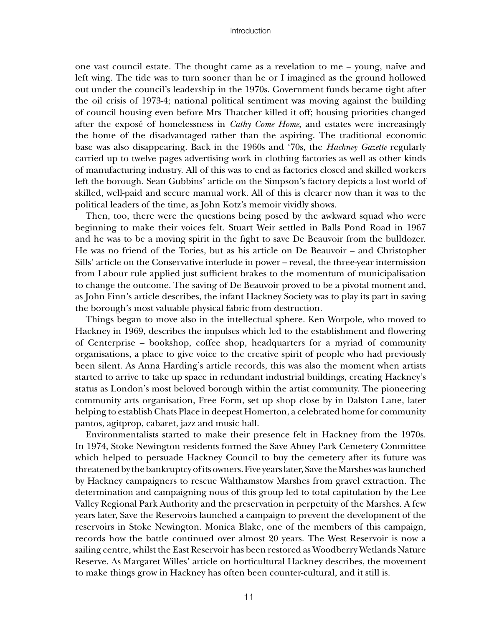one vast council estate. The thought came as a revelation to me – young, naïve and left wing. The tide was to turn sooner than he or I imagined as the ground hollowed out under the council's leadership in the 1970s. Government funds became tight after the oil crisis of 1973-4; national political sentiment was moving against the building of council housing even before Mrs Thatcher killed it off; housing priorities changed after the exposé of homelessness in *Cathy Come Home*, and estates were increasingly the home of the disadvantaged rather than the aspiring. The traditional economic base was also disappearing. Back in the 1960s and '70s, the *Hackney Gazette* regularly carried up to twelve pages advertising work in clothing factories as well as other kinds of manufacturing industry. All of this was to end as factories closed and skilled workers left the borough. Sean Gubbins' article on the Simpson's factory depicts a lost world of skilled, well-paid and secure manual work. All of this is clearer now than it was to the political leaders of the time, as John Kotz's memoir vividly shows.

Then, too, there were the questions being posed by the awkward squad who were beginning to make their voices felt. Stuart Weir settled in Balls Pond Road in 1967 and he was to be a moving spirit in the fight to save De Beauvoir from the bulldozer. He was no friend of the Tories, but as his article on De Beauvoir – and Christopher Sills' article on the Conservative interlude in power – reveal, the three-year intermission from Labour rule applied just sufficient brakes to the momentum of municipalisation to change the outcome. The saving of De Beauvoir proved to be a pivotal moment and, as John Finn's article describes, the infant Hackney Society was to play its part in saving the borough's most valuable physical fabric from destruction.

Things began to move also in the intellectual sphere. Ken Worpole, who moved to Hackney in 1969, describes the impulses which led to the establishment and flowering of Centerprise – bookshop, coffee shop, headquarters for a myriad of community organisations, a place to give voice to the creative spirit of people who had previously been silent. As Anna Harding's article records, this was also the moment when artists started to arrive to take up space in redundant industrial buildings, creating Hackney's status as London's most beloved borough within the artist community. The pioneering community arts organisation, Free Form, set up shop close by in Dalston Lane, later helping to establish Chats Place in deepest Homerton, a celebrated home for community pantos, agitprop, cabaret, jazz and music hall.

Environmentalists started to make their presence felt in Hackney from the 1970s. In 1974, Stoke Newington residents formed the Save Abney Park Cemetery Committee which helped to persuade Hackney Council to buy the cemetery after its future was threatened by the bankruptcy of its owners. Five years later, Save the Marshes was launched by Hackney campaigners to rescue Walthamstow Marshes from gravel extraction. The determination and campaigning nous of this group led to total capitulation by the Lee Valley Regional Park Authority and the preservation in perpetuity of the Marshes. A few years later, Save the Reservoirs launched a campaign to prevent the development of the reservoirs in Stoke Newington. Monica Blake, one of the members of this campaign, records how the battle continued over almost 20 years. The West Reservoir is now a sailing centre, whilst the East Reservoir has been restored as Woodberry Wetlands Nature Reserve. As Margaret Willes' article on horticultural Hackney describes, the movement to make things grow in Hackney has often been counter-cultural, and it still is.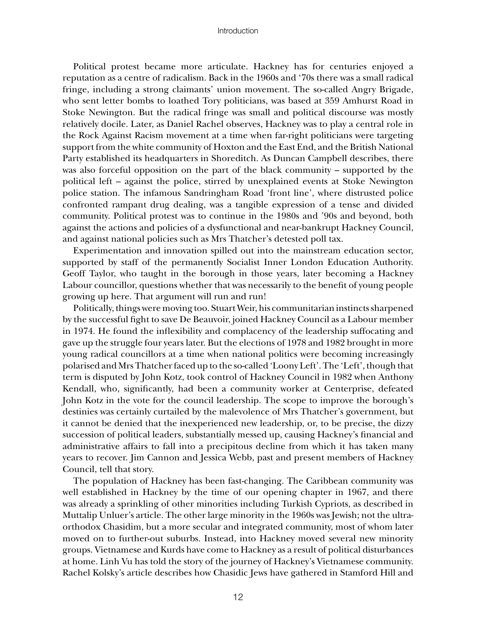#### Introduction

Political protest became more articulate. Hackney has for centuries enjoyed a reputation as a centre of radicalism. Back in the 1960s and '70s there was a small radical fringe, including a strong claimants' union movement. The so-called Angry Brigade, who sent letter bombs to loathed Tory politicians, was based at 359 Amhurst Road in Stoke Newington. But the radical fringe was small and political discourse was mostly relatively docile. Later, as Daniel Rachel observes, Hackney was to play a central role in the Rock Against Racism movement at a time when far-right politicians were targeting support from the white community of Hoxton and the East End, and the British National Party established its headquarters in Shoreditch. As Duncan Campbell describes, there was also forceful opposition on the part of the black community – supported by the political left – against the police, stirred by unexplained events at Stoke Newington police station. The infamous Sandringham Road 'front line', where distrusted police confronted rampant drug dealing, was a tangible expression of a tense and divided community. Political protest was to continue in the 1980s and '90s and beyond, both against the actions and policies of a dysfunctional and near-bankrupt Hackney Council, and against national policies such as Mrs Thatcher's detested poll tax.

Experimentation and innovation spilled out into the mainstream education sector, supported by staff of the permanently Socialist Inner London Education Authority. Geoff Taylor, who taught in the borough in those years, later becoming a Hackney Labour councillor, questions whether that was necessarily to the benefit of young people growing up here. That argument will run and run!

Politically, things were moving too. Stuart Weir, his communitarian instincts sharpened by the successful fight to save De Beauvoir, joined Hackney Council as a Labour member in 1974. He found the inflexibility and complacency of the leadership suffocating and gave up the struggle four years later. But the elections of 1978 and 1982 brought in more young radical councillors at a time when national politics were becoming increasingly polarised and Mrs Thatcher faced up to the so-called 'Loony Left'. The 'Left', though that term is disputed by John Kotz, took control of Hackney Council in 1982 when Anthony Kendall, who, significantly, had been a community worker at Centerprise, defeated John Kotz in the vote for the council leadership. The scope to improve the borough's destinies was certainly curtailed by the malevolence of Mrs Thatcher's government, but it cannot be denied that the inexperienced new leadership, or, to be precise, the dizzy succession of political leaders, substantially messed up, causing Hackney's financial and administrative affairs to fall into a precipitous decline from which it has taken many years to recover. Jim Cannon and Jessica Webb, past and present members of Hackney Council, tell that story.

The population of Hackney has been fast-changing. The Caribbean community was well established in Hackney by the time of our opening chapter in 1967, and there was already a sprinkling of other minorities including Turkish Cypriots, as described in Muttalip Unluer's article. The other large minority in the 1960s was Jewish; not the ultraorthodox Chasidim, but a more secular and integrated community, most of whom later moved on to further-out suburbs. Instead, into Hackney moved several new minority groups. Vietnamese and Kurds have come to Hackney as a result of political disturbances at home. Linh Vu has told the story of the journey of Hackney's Vietnamese community. Rachel Kolsky's article describes how Chasidic Jews have gathered in Stamford Hill and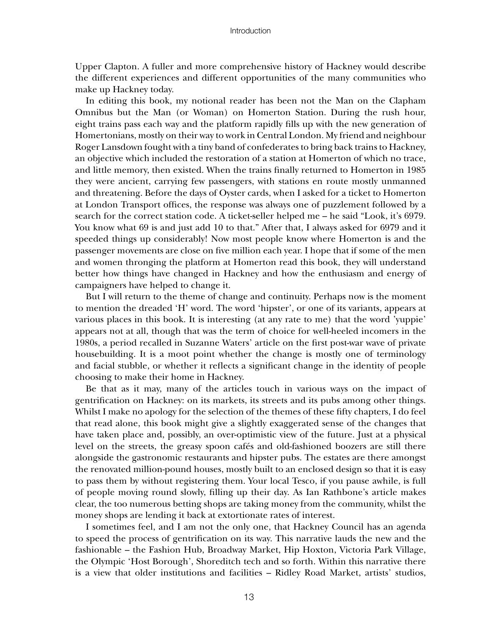Upper Clapton. A fuller and more comprehensive history of Hackney would describe the different experiences and different opportunities of the many communities who make up Hackney today.

In editing this book, my notional reader has been not the Man on the Clapham Omnibus but the Man (or Woman) on Homerton Station. During the rush hour, eight trains pass each way and the platform rapidly fills up with the new generation of Homertonians, mostly on their way to work in Central London. My friend and neighbour Roger Lansdown fought with a tiny band of confederates to bring back trains to Hackney, an objective which included the restoration of a station at Homerton of which no trace, and little memory, then existed. When the trains finally returned to Homerton in 1985 they were ancient, carrying few passengers, with stations en route mostly unmanned and threatening. Before the days of Oyster cards, when I asked for a ticket to Homerton at London Transport offices, the response was always one of puzzlement followed by a search for the correct station code. A ticket-seller helped me – he said "Look, it's 6979. You know what 69 is and just add 10 to that." After that, I always asked for 6979 and it speeded things up considerably! Now most people know where Homerton is and the passenger movements are close on five million each year. I hope that if some of the men and women thronging the platform at Homerton read this book, they will understand better how things have changed in Hackney and how the enthusiasm and energy of campaigners have helped to change it.

But I will return to the theme of change and continuity. Perhaps now is the moment to mention the dreaded 'H' word. The word 'hipster', or one of its variants, appears at various places in this book. It is interesting (at any rate to me) that the word 'yuppie' appears not at all, though that was the term of choice for well-heeled incomers in the 1980s, a period recalled in Suzanne Waters' article on the first post-war wave of private housebuilding. It is a moot point whether the change is mostly one of terminology and facial stubble, or whether it reflects a significant change in the identity of people choosing to make their home in Hackney.

Be that as it may, many of the articles touch in various ways on the impact of gentrification on Hackney: on its markets, its streets and its pubs among other things. Whilst I make no apology for the selection of the themes of these fifty chapters, I do feel that read alone, this book might give a slightly exaggerated sense of the changes that have taken place and, possibly, an over-optimistic view of the future. Just at a physical level on the streets, the greasy spoon cafés and old-fashioned boozers are still there alongside the gastronomic restaurants and hipster pubs. The estates are there amongst the renovated million-pound houses, mostly built to an enclosed design so that it is easy to pass them by without registering them. Your local Tesco, if you pause awhile, is full of people moving round slowly, filling up their day. As Ian Rathbone's article makes clear, the too numerous betting shops are taking money from the community, whilst the money shops are lending it back at extortionate rates of interest.

I sometimes feel, and I am not the only one, that Hackney Council has an agenda to speed the process of gentrification on its way. This narrative lauds the new and the fashionable – the Fashion Hub, Broadway Market, Hip Hoxton, Victoria Park Village, the Olympic 'Host Borough', Shoreditch tech and so forth. Within this narrative there is a view that older institutions and facilities – Ridley Road Market, artists' studios,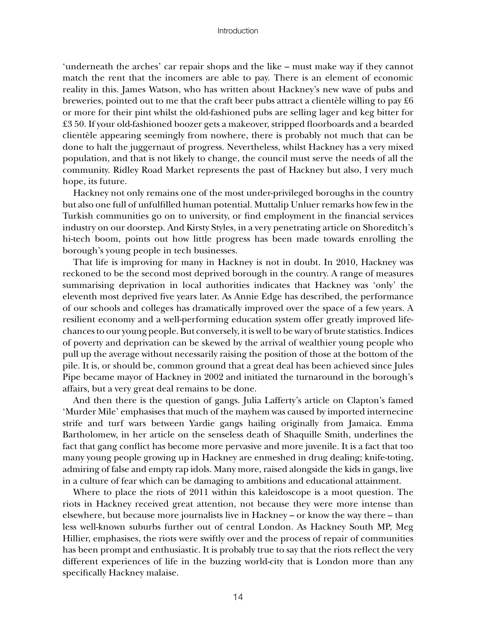'underneath the arches' car repair shops and the like – must make way if they cannot match the rent that the incomers are able to pay. There is an element of economic reality in this. James Watson, who has written about Hackney's new wave of pubs and breweries, pointed out to me that the craft beer pubs attract a clientèle willing to pay £6 or more for their pint whilst the old-fashioned pubs are selling lager and keg bitter for £3 50. If your old-fashioned boozer gets a makeover, stripped floorboards and a bearded clientèle appearing seemingly from nowhere, there is probably not much that can be done to halt the juggernaut of progress. Nevertheless, whilst Hackney has a very mixed population, and that is not likely to change, the council must serve the needs of all the community. Ridley Road Market represents the past of Hackney but also, I very much hope, its future.

Hackney not only remains one of the most under-privileged boroughs in the country but also one full of unfulfilled human potential. Muttalip Unluer remarks how few in the Turkish communities go on to university, or find employment in the financial services industry on our doorstep. And Kirsty Styles, in a very penetrating article on Shoreditch's hi-tech boom, points out how little progress has been made towards enrolling the borough's young people in tech businesses.

That life is improving for many in Hackney is not in doubt. In 2010, Hackney was reckoned to be the second most deprived borough in the country. A range of measures summarising deprivation in local authorities indicates that Hackney was 'only' the eleventh most deprived five years later. As Annie Edge has described, the performance of our schools and colleges has dramatically improved over the space of a few years. A resilient economy and a well-performing education system offer greatly improved lifechances to our young people. But conversely, it is well to be wary of brute statistics. Indices of poverty and deprivation can be skewed by the arrival of wealthier young people who pull up the average without necessarily raising the position of those at the bottom of the pile. It is, or should be, common ground that a great deal has been achieved since Jules Pipe became mayor of Hackney in 2002 and initiated the turnaround in the borough's affairs, but a very great deal remains to be done.

And then there is the question of gangs. Julia Lafferty's article on Clapton's famed 'Murder Mile' emphasises that much of the mayhem was caused by imported internecine strife and turf wars between Yardie gangs hailing originally from Jamaica. Emma Bartholomew, in her article on the senseless death of Shaquille Smith, underlines the fact that gang conflict has become more pervasive and more juvenile. It is a fact that too many young people growing up in Hackney are enmeshed in drug dealing; knife-toting, admiring of false and empty rap idols. Many more, raised alongside the kids in gangs, live in a culture of fear which can be damaging to ambitions and educational attainment.

Where to place the riots of 2011 within this kaleidoscope is a moot question. The riots in Hackney received great attention, not because they were more intense than elsewhere, but because more journalists live in Hackney – or know the way there – than less well-known suburbs further out of central London. As Hackney South MP, Meg Hillier, emphasises, the riots were swiftly over and the process of repair of communities has been prompt and enthusiastic. It is probably true to say that the riots reflect the very different experiences of life in the buzzing world-city that is London more than any specifically Hackney malaise.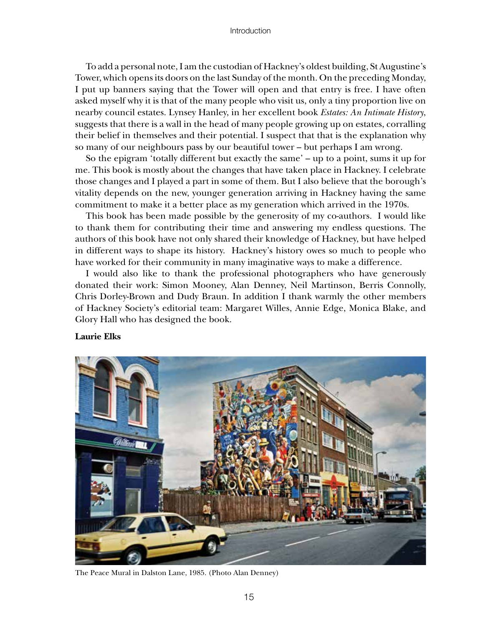To add a personal note, I am the custodian of Hackney's oldest building, St Augustine's Tower, which opens its doors on the last Sunday of the month. On the preceding Monday, I put up banners saying that the Tower will open and that entry is free. I have often asked myself why it is that of the many people who visit us, only a tiny proportion live on nearby council estates. Lynsey Hanley, in her excellent book *Estates: An Intimate History*, suggests that there is a wall in the head of many people growing up on estates, corralling their belief in themselves and their potential. I suspect that that is the explanation why so many of our neighbours pass by our beautiful tower – but perhaps I am wrong.

So the epigram 'totally different but exactly the same' – up to a point, sums it up for me. This book is mostly about the changes that have taken place in Hackney. I celebrate those changes and I played a part in some of them. But I also believe that the borough's vitality depends on the new, younger generation arriving in Hackney having the same commitment to make it a better place as my generation which arrived in the 1970s.

This book has been made possible by the generosity of my co-authors. I would like to thank them for contributing their time and answering my endless questions. The authors of this book have not only shared their knowledge of Hackney, but have helped in different ways to shape its history. Hackney's history owes so much to people who have worked for their community in many imaginative ways to make a difference.

I would also like to thank the professional photographers who have generously donated their work: Simon Mooney, Alan Denney, Neil Martinson, Berris Connolly, Chris Dorley-Brown and Dudy Braun. In addition I thank warmly the other members of Hackney Society's editorial team: Margaret Willes, Annie Edge, Monica Blake, and Glory Hall who has designed the book.

#### **Laurie Elks**



The Peace Mural in Dalston Lane, 1985. (Photo Alan Denney)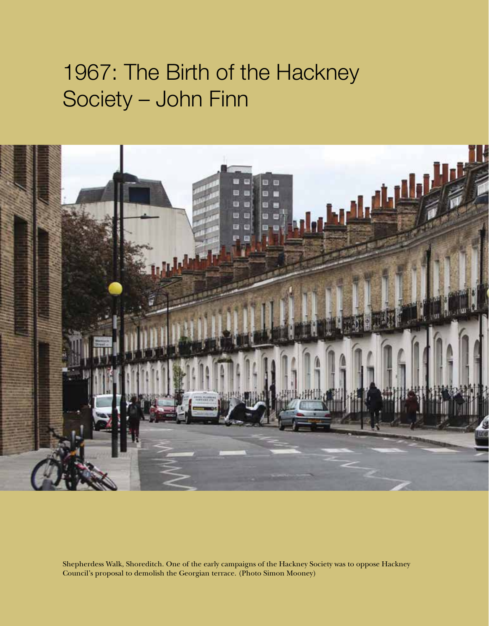## 1967: The Birth of the Hackney Society – John Finn



Shepherdess Walk, Shoreditch. One of the early campaigns of the Hackney Society was to oppose Hackney Council's proposal to demolish the Georgian terrace. (Photo Simon Mooney)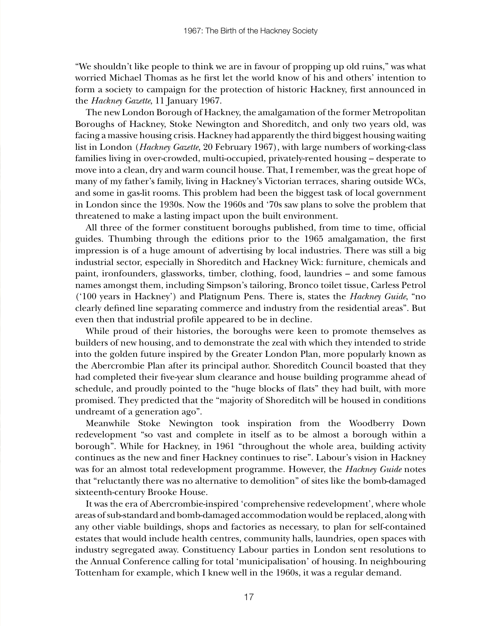"We shouldn't like people to think we are in favour of propping up old ruins," was what worried Michael Thomas as he first let the world know of his and others' intention to form a society to campaign for the protection of historic Hackney, first announced in the *Hackney Gazette*, 11 January 1967.

The new London Borough of Hackney, the amalgamation of the former Metropolitan Boroughs of Hackney, Stoke Newington and Shoreditch, and only two years old, was facing a massive housing crisis. Hackney had apparently the third biggest housing waiting list in London (*Hackney Gazette*, 20 February 1967), with large numbers of working-class families living in over-crowded, multi-occupied, privately-rented housing – desperate to move into a clean, dry and warm council house. That, I remember, was the great hope of many of my father's family, living in Hackney's Victorian terraces, sharing outside WCs, and some in gas-lit rooms. This problem had been the biggest task of local government in London since the 1930s. Now the 1960s and '70s saw plans to solve the problem that threatened to make a lasting impact upon the built environment.

All three of the former constituent boroughs published, from time to time, official guides. Thumbing through the editions prior to the 1965 amalgamation, the first impression is of a huge amount of advertising by local industries. There was still a big industrial sector, especially in Shoreditch and Hackney Wick: furniture, chemicals and paint, ironfounders, glassworks, timber, clothing, food, laundries – and some famous names amongst them, including Simpson's tailoring, Bronco toilet tissue, Carless Petrol ('100 years in Hackney') and Platignum Pens. There is, states the *Hackney Guide*, "no clearly defined line separating commerce and industry from the residential areas". But even then that industrial profile appeared to be in decline.

While proud of their histories, the boroughs were keen to promote themselves as builders of new housing, and to demonstrate the zeal with which they intended to stride into the golden future inspired by the Greater London Plan, more popularly known as the Abercrombie Plan after its principal author. Shoreditch Council boasted that they had completed their five-year slum clearance and house building programme ahead of schedule, and proudly pointed to the "huge blocks of flats" they had built, with more promised. They predicted that the "majority of Shoreditch will be housed in conditions undreamt of a generation ago".

Meanwhile Stoke Newington took inspiration from the Woodberry Down redevelopment "so vast and complete in itself as to be almost a borough within a borough". While for Hackney, in 1961 "throughout the whole area, building activity continues as the new and finer Hackney continues to rise". Labour's vision in Hackney was for an almost total redevelopment programme. However, the *Hackney Guide* notes that "reluctantly there was no alternative to demolition" of sites like the bomb-damaged sixteenth-century Brooke House.

It was the era of Abercrombie-inspired 'comprehensive redevelopment', where whole areas of sub-standard and bomb-damaged accommodation would be replaced, along with any other viable buildings, shops and factories as necessary, to plan for self-contained estates that would include health centres, community halls, laundries, open spaces with industry segregated away. Constituency Labour parties in London sent resolutions to the Annual Conference calling for total 'municipalisation' of housing. In neighbouring Tottenham for example, which I knew well in the 1960s, it was a regular demand.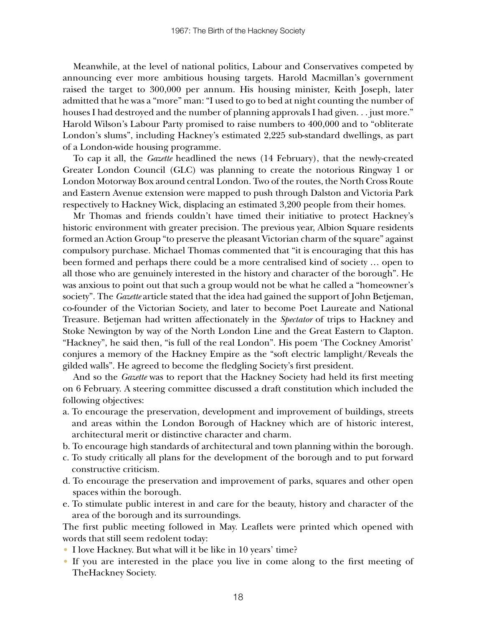Meanwhile, at the level of national politics, Labour and Conservatives competed by announcing ever more ambitious housing targets. Harold Macmillan's government raised the target to 300,000 per annum. His housing minister, Keith Joseph, later admitted that he was a "more" man: "I used to go to bed at night counting the number of houses I had destroyed and the number of planning approvals I had given. . . just more." Harold Wilson's Labour Party promised to raise numbers to 400,000 and to "obliterate London's slums", including Hackney's estimated 2,225 sub-standard dwellings, as part of a London-wide housing programme.

To cap it all, the *Gazette* headlined the news (14 February), that the newly-created Greater London Council (GLC) was planning to create the notorious Ringway 1 or London Motorway Box around central London. Two of the routes, the North Cross Route and Eastern Avenue extension were mapped to push through Dalston and Victoria Park respectively to Hackney Wick, displacing an estimated 3,200 people from their homes.

Mr Thomas and friends couldn't have timed their initiative to protect Hackney's historic environment with greater precision. The previous year, Albion Square residents formed an Action Group "to preserve the pleasant Victorian charm of the square" against compulsory purchase. Michael Thomas commented that "it is encouraging that this has been formed and perhaps there could be a more centralised kind of society … open to all those who are genuinely interested in the history and character of the borough". He was anxious to point out that such a group would not be what he called a "homeowner's society". The *Gazette* article stated that the idea had gained the support of John Betjeman, co-founder of the Victorian Society, and later to become Poet Laureate and National Treasure. Betjeman had written affectionately in the *Spectator* of trips to Hackney and Stoke Newington by way of the North London Line and the Great Eastern to Clapton. "Hackney", he said then, "is full of the real London". His poem 'The Cockney Amorist' conjures a memory of the Hackney Empire as the "soft electric lamplight/Reveals the gilded walls". He agreed to become the fledgling Society's first president.

And so the *Gazette* was to report that the Hackney Society had held its first meeting on 6 February. A steering committee discussed a draft constitution which included the following objectives:

- a. To encourage the preservation, development and improvement of buildings, streets and areas within the London Borough of Hackney which are of historic interest, architectural merit or distinctive character and charm.
- b. To encourage high standards of architectural and town planning within the borough.
- c. To study critically all plans for the development of the borough and to put forward constructive criticism.
- d. To encourage the preservation and improvement of parks, squares and other open spaces within the borough.
- e. To stimulate public interest in and care for the beauty, history and character of the area of the borough and its surroundings.

The first public meeting followed in May. Leaflets were printed which opened with words that still seem redolent today:

- I love Hackney. But what will it be like in 10 years' time?
- If you are interested in the place you live in come along to the first meeting of TheHackney Society.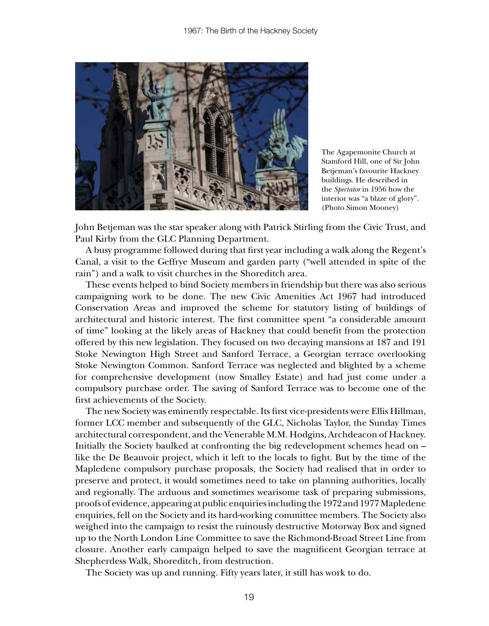

The Agapemonite Church at Stamford Hill, one of Sir John Betjeman's favourite Hackney buildings. He described in the *Spectator* in 1956 how the interior was "a blaze of glory". (Photo Simon Mooney)

John Betjeman was the star speaker along with Patrick Stirling from the Civic Trust, and Paul Kirby from the GLC Planning Department.

A busy programme followed during that first year including a walk along the Regent's Canal, a visit to the Geffrye Museum and garden party ("well attended in spite of the rain") and a walk to visit churches in the Shoreditch area.

These events helped to bind Society members in friendship but there was also serious campaigning work to be done. The new Civic Amenities Act 1967 had introduced Conservation Areas and improved the scheme for statutory listing of buildings of architectural and historic interest. The first committee spent "a considerable amount of time" looking at the likely areas of Hackney that could benefit from the protection offered by this new legislation. They focused on two decaying mansions at 187 and 191 Stoke Newington High Street and Sanford Terrace, a Georgian terrace overlooking Stoke Newington Common. Sanford Terrace was neglected and blighted by a scheme for comprehensive development (now Smalley Estate) and had just come under a compulsory purchase order. The saving of Sanford Terrace was to become one of the first achievements of the Society.

The new Society was eminently respectable. Its first vice-presidents were Ellis Hillman, former LCC member and subsequently of the GLC, Nicholas Taylor, the Sunday Times architectural correspondent, and the Venerable M.M. Hodgins, Archdeacon of Hackney. Initially the Society baulked at confronting the big redevelopment schemes head on – like the De Beauvoir project, which it left to the locals to fight. But by the time of the Mapledene compulsory purchase proposals, the Society had realised that in order to preserve and protect, it would sometimes need to take on planning authorities, locally and regionally. The arduous and sometimes wearisome task of preparing submissions, proofs of evidence, appearing at public enquiries including the 1972 and 1977 Mapledene enquiries, fell on the Society and its hard-working committee members. The Society also weighed into the campaign to resist the ruinously destructive Motorway Box and signed up to the North London Line Committee to save the Richmond-Broad Street Line from closure. Another early campaign helped to save the magnificent Georgian terrace at Shepherdess Walk, Shoreditch, from destruction.

The Society was up and running. Fifty years later, it still has work to do.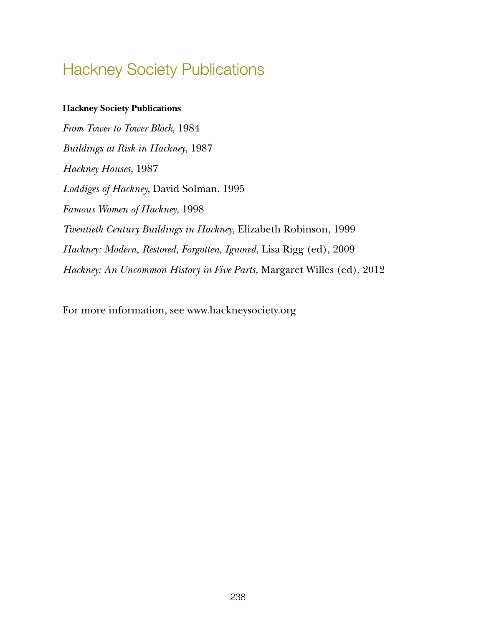### Hackney Society Publications

#### **Hackney Society Publications**

*From Tower to Tower Block*, 1984 *Buildings at Risk in Hackney*, 1987 *Hackney Houses*, 1987 *Loddiges of Hackney*, David Solman, 1995 *Famous Women of Hackney*, 1998 *Twentieth Century Buildings in Hackney*, Elizabeth Robinson, 1999 *Hackney: Modern, Restored, Forgotten, Ignored*, Lisa Rigg (ed), 2009 *Hackney: An Uncommon History in Five Parts,* Margaret Willes (ed), 2012

For more information, see www.hackneysociety.org